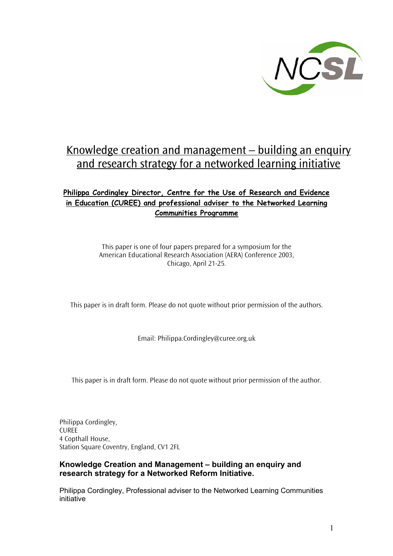

# Knowledge creation and management – building an enquiry and research strategy for a networked learning initiative

# **Philippa Cordingley Director, Centre for the Use of Research and Evidence in Education (CUREE) and professional adviser to the Networked Learning Communities Programme**

This paper is one of four papers prepared for a symposium for the American Educational Research Association (AERA) Conference 2003, Chicago, April 21-25.

This paper is in draft form. Please do not quote without prior permission of the authors.

Email: Philippa.Cordingley@curee.org.uk

This paper is in draft form. Please do not quote without prior permission of the author.

Philippa Cordingley, CUREE 4 Copthall House, Station Square Coventry, England, CV1 2FL

# **Knowledge Creation and Management – building an enquiry and research strategy for a Networked Reform Initiative.**

Philippa Cordingley, Professional adviser to the Networked Learning Communities initiative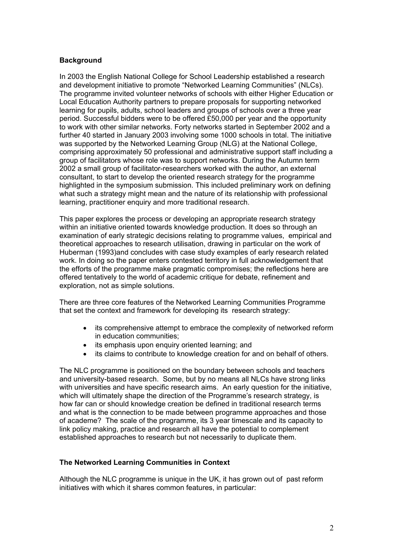### **Background**

In 2003 the English National College for School Leadership established a research and development initiative to promote "Networked Learning Communities" (NLCs). The programme invited volunteer networks of schools with either Higher Education or Local Education Authority partners to prepare proposals for supporting networked learning for pupils, adults, school leaders and groups of schools over a three year period. Successful bidders were to be offered £50,000 per year and the opportunity to work with other similar networks. Forty networks started in September 2002 and a further 40 started in January 2003 involving some 1000 schools in total. The initiative was supported by the Networked Learning Group (NLG) at the National College, comprising approximately 50 professional and administrative support staff including a group of facilitators whose role was to support networks. During the Autumn term 2002 a small group of facilitator-researchers worked with the author, an external consultant, to start to develop the oriented research strategy for the programme highlighted in the symposium submission. This included preliminary work on defining what such a strategy might mean and the nature of its relationship with professional learning, practitioner enquiry and more traditional research.

This paper explores the process or developing an appropriate research strategy within an initiative oriented towards knowledge production. It does so through an examination of early strategic decisions relating to programme values, empirical and theoretical approaches to research utilisation, drawing in particular on the work of Huberman (1993)and concludes with case study examples of early research related work. In doing so the paper enters contested territory in full acknowledgement that the efforts of the programme make pragmatic compromises; the reflections here are offered tentatively to the world of academic critique for debate, refinement and exploration, not as simple solutions.

There are three core features of the Networked Learning Communities Programme that set the context and framework for developing its research strategy:

- its comprehensive attempt to embrace the complexity of networked reform in education communities;
- its emphasis upon enquiry oriented learning; and
- its claims to contribute to knowledge creation for and on behalf of others.

The NLC programme is positioned on the boundary between schools and teachers and university-based research. Some, but by no means all NLCs have strong links with universities and have specific research aims. An early question for the initiative, which will ultimately shape the direction of the Programme's research strategy, is how far can or should knowledge creation be defined in traditional research terms and what is the connection to be made between programme approaches and those of academe? The scale of the programme, its 3 year timescale and its capacity to link policy making, practice and research all have the potential to complement established approaches to research but not necessarily to duplicate them.

### **The Networked Learning Communities in Context**

Although the NLC programme is unique in the UK, it has grown out of past reform initiatives with which it shares common features, in particular: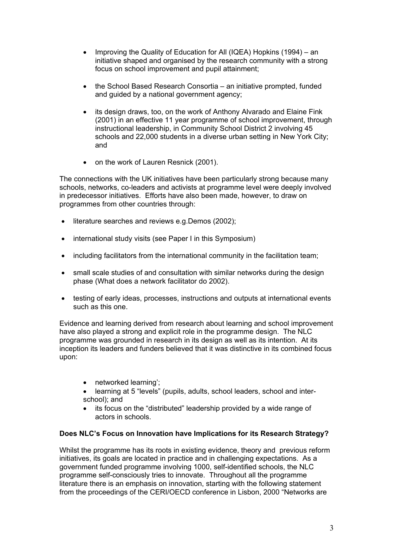- Improving the Quality of Education for All (IQEA) Hopkins (1994) an initiative shaped and organised by the research community with a strong focus on school improvement and pupil attainment;
- the School Based Research Consortia an initiative prompted, funded and guided by a national government agency;
- its design draws, too, on the work of Anthony Alvarado and Elaine Fink (2001) in an effective 11 year programme of school improvement, through instructional leadership, in Community School District 2 involving 45 schools and 22,000 students in a diverse urban setting in New York City; and
- on the work of Lauren Resnick (2001).

The connections with the UK initiatives have been particularly strong because many schools, networks, co-leaders and activists at programme level were deeply involved in predecessor initiatives. Efforts have also been made, however, to draw on programmes from other countries through:

- literature searches and reviews e.g.Demos (2002);
- international study visits (see Paper I in this Symposium)
- including facilitators from the international community in the facilitation team;
- small scale studies of and consultation with similar networks during the design phase (What does a network facilitator do 2002).
- testing of early ideas, processes, instructions and outputs at international events such as this one.

Evidence and learning derived from research about learning and school improvement have also played a strong and explicit role in the programme design. The NLC programme was grounded in research in its design as well as its intention. At its inception its leaders and funders believed that it was distinctive in its combined focus upon:

- networked learning';
- learning at 5 "levels" (pupils, adults, school leaders, school and interschool); and
- its focus on the "distributed" leadership provided by a wide range of actors in schools.

### **Does NLC's Focus on Innovation have Implications for its Research Strategy?**

Whilst the programme has its roots in existing evidence, theory and previous reform initiatives, its goals are located in practice and in challenging expectations. As a government funded programme involving 1000, self-identified schools, the NLC programme self-consciously tries to innovate. Throughout all the programme literature there is an emphasis on innovation, starting with the following statement from the proceedings of the CERI/OECD conference in Lisbon, 2000 "Networks are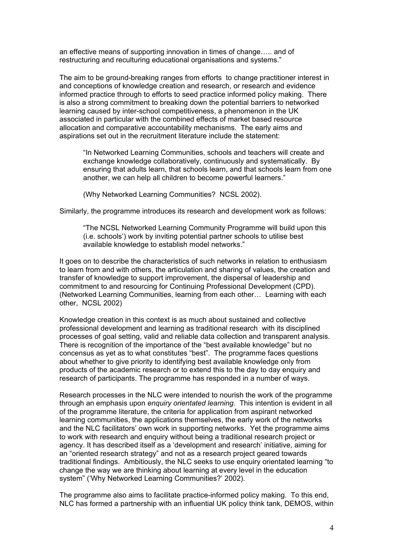an effective means of supporting innovation in times of change….. and of restructuring and reculturing educational organisations and systems."

The aim to be ground-breaking ranges from efforts to change practitioner interest in and conceptions of knowledge creation and research, or research and evidence informed practice through to efforts to seed practice informed policy making. There is also a strong commitment to breaking down the potential barriers to networked learning caused by inter-school competitiveness, a phenomenon in the UK associated in particular with the combined effects of market based resource allocation and comparative accountability mechanisms. The early aims and aspirations set out in the recruitment literature include the statement:

"In Networked Learning Communities, schools and teachers will create and exchange knowledge collaboratively, continuously and systematically. By ensuring that adults learn, that schools learn, and that schools learn from one another, we can help all children to become powerful learners."

(Why Networked Learning Communities? NCSL 2002).

Similarly, the programme introduces its research and development work as follows:

"The NCSL Networked Learning Community Programme will build upon this (i.e. schools') work by inviting potential partner schools to utilise best available knowledge to establish model networks."

It goes on to describe the characteristics of such networks in relation to enthusiasm to learn from and with others, the articulation and sharing of values, the creation and transfer of knowledge to support improvement, the dispersal of leadership and commitment to and resourcing for Continuing Professional Development (CPD). (Networked Learning Communities, learning from each other… Learning with each other, NCSL 2002)

Knowledge creation in this context is as much about sustained and collective professional development and learning as traditional research with its disciplined processes of goal setting, valid and reliable data collection and transparent analysis. There is recognition of the importance of the "best available knowledge" but no concensus as yet as to what constitutes "best". The programme faces questions about whether to give priority to identifying best available knowledge only from products of the academic research or to extend this to the day to day enquiry and research of participants. The programme has responded in a number of ways.

Research processes in the NLC were intended to nourish the work of the programme through an emphasis upon *enquiry orientated learning*. This intention is evident in all of the programme literature, the criteria for application from aspirant networked learning communities, the applications themselves, the early work of the networks and the NLC facilitators' own work in supporting networks. Yet the programme aims to work with research and enquiry without being a traditional research project or agency. It has described itself as a 'development and research' initiative, aiming for an "oriented research strategy" and not as a research project geared towards traditional findings. Ambitiously, the NLC seeks to use enquiry orientated learning "to change the way we are thinking about learning at every level in the education system" ('Why Networked Learning Communities?' 2002).

The programme also aims to facilitate practice-informed policy making. To this end, NLC has formed a partnership with an influential UK policy think tank, DEMOS, within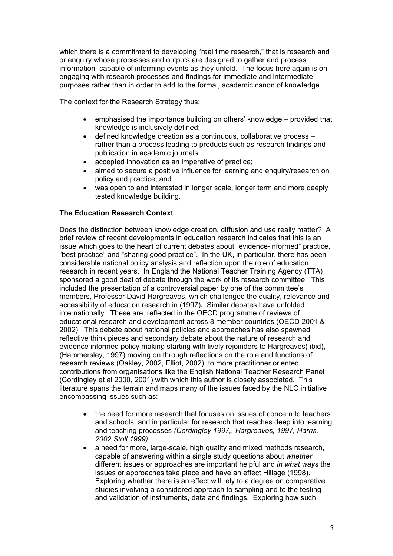which there is a commitment to developing "real time research," that is research and or enquiry whose processes and outputs are designed to gather and process information capable of informing events as they unfold. The focus here again is on engaging with research processes and findings for immediate and intermediate purposes rather than in order to add to the formal, academic canon of knowledge.

The context for the Research Strategy thus:

- emphasised the importance building on others' knowledge provided that knowledge is inclusively defined;
- defined knowledge creation as a continuous, collaborative process rather than a process leading to products such as research findings and publication in academic journals;
- accepted innovation as an imperative of practice;
- aimed to secure a positive influence for learning and enquiry/research on policy and practice; and
- was open to and interested in longer scale, longer term and more deeply tested knowledge building.

### **The Education Research Context**

Does the distinction between knowledge creation, diffusion and use really matter? A brief review of recent developments in education research indicates that this is an issue which goes to the heart of current debates about "evidence-informed" practice, "best practice" and "sharing good practice". In the UK, in particular, there has been considerable national policy analysis and reflection upon the role of education research in recent years. In England the National Teacher Training Agency (TTA) sponsored a good deal of debate through the work of its research committee. This included the presentation of a controversial paper by one of the committee's members, Professor David Hargreaves, which challenged the quality, relevance and accessibility of education research in (1997)*.* Similar debates have unfolded internationally. These are reflected in the OECD programme of reviews of educational research and development across 8 member countries (OECD 2001 & 2002). This debate about national policies and approaches has also spawned reflective think pieces and secondary debate about the nature of research and evidence informed policy making starting with lively rejoinders to Hargreaves( ibid), (Hammersley, 1997) moving on through reflections on the role and functions of research reviews (Oakley, 2002, Elliot, 2002) to more practitioner oriented contributions from organisations like the English National Teacher Research Panel (Cordingley et al 2000, 2001) with which this author is closely associated. This literature spans the terrain and maps many of the issues faced by the NLC initiative encompassing issues such as:

- the need for more research that focuses on issues of concern to teachers and schools, and in particular for research that reaches deep into learning and teaching processes *(Cordingley 1997,, Hargreaves, 1997, Harris, 2002 Stoll 1999)*
- a need for more, large-scale, high quality and mixed methods research, capable of answering within a single study questions about *whether* different issues or approaches are important helpful and *in what ways* the issues or approaches take place and have an effect Hillage (1998). Exploring whether there is an effect will rely to a degree on comparative studies involving a considered approach to sampling and to the testing and validation of instruments, data and findings. Exploring how such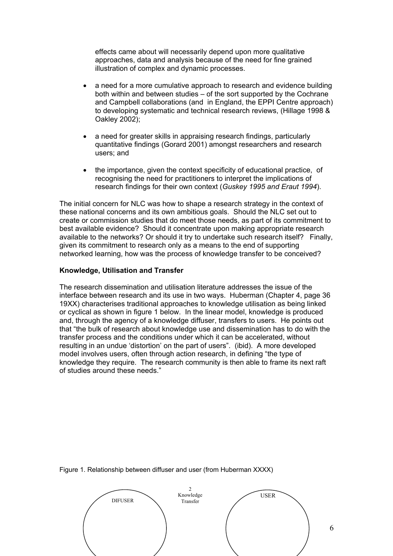effects came about will necessarily depend upon more qualitative approaches, data and analysis because of the need for fine grained illustration of complex and dynamic processes.

- a need for a more cumulative approach to research and evidence building both within and between studies – of the sort supported by the Cochrane and Campbell collaborations (and in England, the EPPI Centre approach) to developing systematic and technical research reviews, (Hillage 1998 & Oakley 2002);
- a need for greater skills in appraising research findings, particularly quantitative findings (Gorard 2001) amongst researchers and research users; and
- the importance, given the context specificity of educational practice, of recognising the need for practitioners to interpret the implications of research findings for their own context (*Guskey 1995 and Eraut 1994*).

The initial concern for NLC was how to shape a research strategy in the context of these national concerns and its own ambitious goals. Should the NLC set out to create or commission studies that do meet those needs, as part of its commitment to best available evidence? Should it concentrate upon making appropriate research available to the networks? Or should it try to undertake such research itself? Finally, given its commitment to research only as a means to the end of supporting networked learning, how was the process of knowledge transfer to be conceived?

#### **Knowledge, Utilisation and Transfer**

The research dissemination and utilisation literature addresses the issue of the interface between research and its use in two ways. Huberman (Chapter 4, page 36 19XX) characterises traditional approaches to knowledge utilisation as being linked or cyclical as shown in figure 1 below. In the linear model, knowledge is produced and, through the agency of a knowledge diffuser, transfers to users. He points out that "the bulk of research about knowledge use and dissemination has to do with the transfer process and the conditions under which it can be accelerated, without resulting in an undue 'distortion' on the part of users". (ibid). A more developed model involves users, often through action research, in defining "the type of knowledge they require. The research community is then able to frame its next raft of studies around these needs."



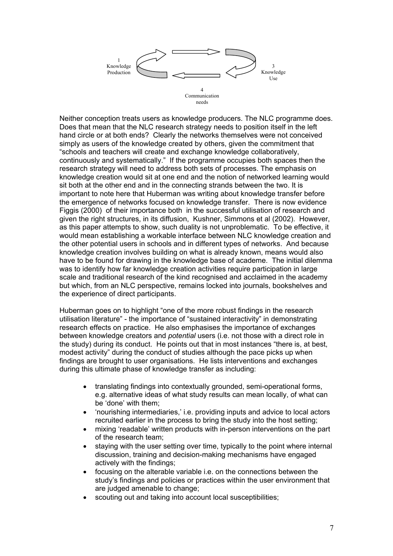

Neither conception treats users as knowledge producers. The NLC programme does. Does that mean that the NLC research strategy needs to position itself in the left hand circle or at both ends? Clearly the networks themselves were not conceived simply as users of the knowledge created by others, given the commitment that "schools and teachers will create and exchange knowledge collaboratively, continuously and systematically." If the programme occupies both spaces then the research strategy will need to address both sets of processes. The emphasis on knowledge creation would sit at one end and the notion of networked learning would sit both at the other end and in the connecting strands between the two. It is important to note here that Huberman was writing about knowledge transfer before the emergence of networks focused on knowledge transfer. There is now evidence Figgis (2000) of their importance both in the successful utilisation of research and given the right structures, in its diffusion, Kushner, Simmons et al (2002). However, as this paper attempts to show, such duality is not unproblematic. To be effective, it would mean establishing a workable interface between NLC knowledge creation and the other potential users in schools and in different types of networks. And because knowledge creation involves building on what is already known, means would also have to be found for drawing in the knowledge base of academe. The initial dilemma was to identify how far knowledge creation activities require participation in large scale and traditional research of the kind recognised and acclaimed in the academy but which, from an NLC perspective, remains locked into journals, bookshelves and the experience of direct participants.

Huberman goes on to highlight "one of the more robust findings in the research utilisation literature" - the importance of "sustained interactivity" in demonstrating research effects on practice. He also emphasises the importance of exchanges between knowledge creators and *potential* users (i.e. not those with a direct role in the study) during its conduct. He points out that in most instances "there is, at best, modest activity" during the conduct of studies although the pace picks up when findings are brought to user organisations. He lists interventions and exchanges during this ultimate phase of knowledge transfer as including:

- translating findings into contextually grounded, semi-operational forms, e.g. alternative ideas of what study results can mean locally, of what can be 'done' with them;
- 'nourishing intermediaries,' i.e. providing inputs and advice to local actors recruited earlier in the process to bring the study into the host setting;
- mixing 'readable' written products with in-person interventions on the part of the research team;
- staving with the user setting over time, typically to the point where internal discussion, training and decision-making mechanisms have engaged actively with the findings;
- focusing on the alterable variable i.e. on the connections between the study's findings and policies or practices within the user environment that are judged amenable to change;
- scouting out and taking into account local susceptibilities;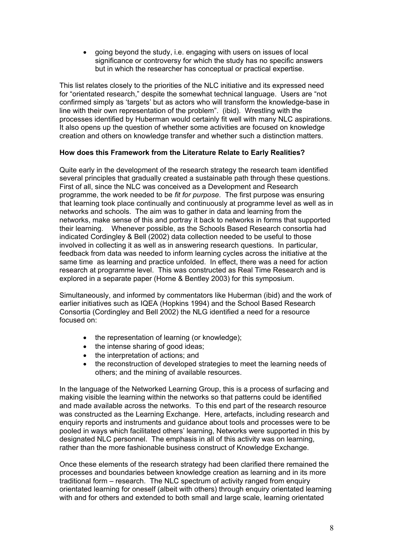• going beyond the study, i.e. engaging with users on issues of local significance or controversy for which the study has no specific answers but in which the researcher has conceptual or practical expertise.

This list relates closely to the priorities of the NLC initiative and its expressed need for "orientated research," despite the somewhat technical language. Users are "not confirmed simply as 'targets' but as actors who will transform the knowledge-base in line with their own representation of the problem". (ibid). Wrestling with the processes identified by Huberman would certainly fit well with many NLC aspirations. It also opens up the question of whether some activities are focused on knowledge creation and others on knowledge transfer and whether such a distinction matters.

### **How does this Framework from the Literature Relate to Early Realities?**

Quite early in the development of the research strategy the research team identified several principles that gradually created a sustainable path through these questions. First of all, since the NLC was conceived as a Development and Research programme, the work needed to be *fit for purpose*. The first purpose was ensuring that learning took place continually and continuously at programme level as well as in networks and schools. The aim was to gather in data and learning from the networks, make sense of this and portray it back to networks in forms that supported their learning. Whenever possible, as the Schools Based Research consortia had indicated Cordingley & Bell (2002) data collection needed to be useful to those involved in collecting it as well as in answering research questions. In particular, feedback from data was needed to inform learning cycles across the initiative at the same time as learning and practice unfolded. In effect, there was a need for action research at programme level. This was constructed as Real Time Research and is explored in a separate paper (Horne & Bentley 2003) for this symposium.

Simultaneously, and informed by commentators like Huberman (ibid) and the work of earlier initiatives such as IQEA (Hopkins 1994) and the School Based Research Consortia (Cordingley and Bell 2002) the NLG identified a need for a resource focused on:

- the representation of learning (or knowledge);
- the intense sharing of good ideas;
- the interpretation of actions; and
- the reconstruction of developed strategies to meet the learning needs of others; and the mining of available resources.

In the language of the Networked Learning Group, this is a process of surfacing and making visible the learning within the networks so that patterns could be identified and made available across the networks. To this end part of the research resource was constructed as the Learning Exchange. Here, artefacts, including research and enquiry reports and instruments and guidance about tools and processes were to be pooled in ways which facilitated others' learning, Networks were supported in this by designated NLC personnel. The emphasis in all of this activity was on learning, rather than the more fashionable business construct of Knowledge Exchange.

Once these elements of the research strategy had been clarified there remained the processes and boundaries between knowledge creation as learning and in its more traditional form – research. The NLC spectrum of activity ranged from enquiry orientated learning for oneself (albeit with others) through enquiry orientated learning with and for others and extended to both small and large scale, learning orientated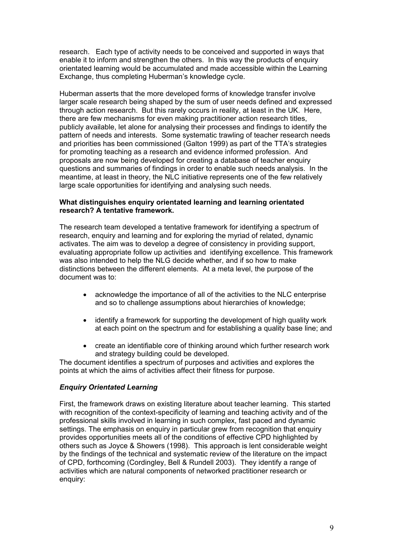research. Each type of activity needs to be conceived and supported in ways that enable it to inform and strengthen the others. In this way the products of enquiry orientated learning would be accumulated and made accessible within the Learning Exchange, thus completing Huberman's knowledge cycle.

Huberman asserts that the more developed forms of knowledge transfer involve larger scale research being shaped by the sum of user needs defined and expressed through action research. But this rarely occurs in reality, at least in the UK. Here, there are few mechanisms for even making practitioner action research titles, publicly available, let alone for analysing their processes and findings to identify the pattern of needs and interests. Some systematic trawling of teacher research needs and priorities has been commissioned (Galton 1999) as part of the TTA's strategies for promoting teaching as a research and evidence informed profession. And proposals are now being developed for creating a database of teacher enquiry questions and summaries of findings in order to enable such needs analysis. In the meantime, at least in theory, the NLC initiative represents one of the few relatively large scale opportunities for identifying and analysing such needs.

### **What distinguishes enquiry orientated learning and learning orientated research? A tentative framework.**

The research team developed a tentative framework for identifying a spectrum of research, enquiry and learning and for exploring the myriad of related, dynamic activates. The aim was to develop a degree of consistency in providing support, evaluating appropriate follow up activities and identifying excellence. This framework was also intended to help the NLG decide whether, and if so how to make distinctions between the different elements. At a meta level, the purpose of the document was to:

- acknowledge the importance of all of the activities to the NLC enterprise and so to challenge assumptions about hierarchies of knowledge;
- identify a framework for supporting the development of high quality work at each point on the spectrum and for establishing a quality base line; and
- create an identifiable core of thinking around which further research work and strategy building could be developed.

The document identifies a spectrum of purposes and activities and explores the points at which the aims of activities affect their fitness for purpose.

### *Enquiry Orientated Learning*

First, the framework draws on existing literature about teacher learning. This started with recognition of the context-specificity of learning and teaching activity and of the professional skills involved in learning in such complex, fast paced and dynamic settings. The emphasis on enquiry in particular grew from recognition that enquiry provides opportunities meets all of the conditions of effective CPD highlighted by others such as Joyce & Showers (1998). This approach is lent considerable weight by the findings of the technical and systematic review of the literature on the impact of CPD, forthcoming (Cordingley, Bell & Rundell 2003). They identify a range of activities which are natural components of networked practitioner research or enquiry: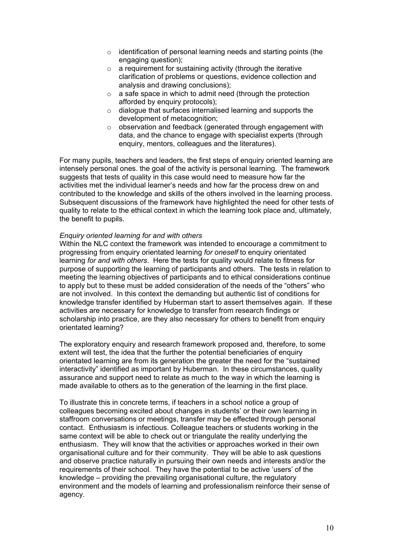- $\circ$  identification of personal learning needs and starting points (the engaging question);
- $\circ$  a requirement for sustaining activity (through the iterative clarification of problems or questions, evidence collection and analysis and drawing conclusions);
- $\circ$  a safe space in which to admit need (through the protection afforded by enquiry protocols);
- o dialogue that surfaces internalised learning and supports the development of metacognition;
- o observation and feedback (generated through engagement with data, and the chance to engage with specialist experts (through enquiry, mentors, colleagues and the literatures).

For many pupils, teachers and leaders, the first steps of enquiry oriented learning are intensely personal ones. the goal of the activity is personal learning. The framework suggests that tests of quality in this case would need to measure how far the activities met the individual learner's needs and how far the process drew on and contributed to the knowledge and skills of the others involved in the learning process. Subsequent discussions of the framework have highlighted the need for other tests of quality to relate to the ethical context in which the learning took place and, ultimately, the benefit to pupils.

#### *Enquiry oriented learning for and with others*

Within the NLC context the framework was intended to encourage a commitment to progressing from enquiry orientated learning *for oneself* to enquiry orientated learning *for and with others*. Here the tests for quality would relate to fitness for purpose of supporting the learning of participants and others. The tests in relation to meeting the learning objectives of participants and to ethical considerations continue to apply but to these must be added consideration of the needs of the "others" who are not involved. In this context the demanding but authentic list of conditions for knowledge transfer identified by Huberman start to assert themselves again. If these activities are necessary for knowledge to transfer from research findings or scholarship into practice, are they also necessary for others to benefit from enquiry orientated learning?

The exploratory enquiry and research framework proposed and, therefore, to some extent will test, the idea that the further the potential beneficiaries of enquiry orientated learning are from its generation the greater the need for the "sustained interactivity" identified as important by Huberman. In these circumstances, quality assurance and support need to relate as much to the way in which the learning is made available to others as to the generation of the learning in the first place.

To illustrate this in concrete terms, if teachers in a school notice a group of colleagues becoming excited about changes in students' or their own learning in staffroom conversations or meetings, transfer may be effected through personal contact. Enthusiasm is infectious. Colleague teachers or students working in the same context will be able to check out or triangulate the reality underlying the enthusiasm. They will know that the activities or approaches worked in their own organisational culture and for their community. They will be able to ask questions and observe practice naturally in pursuing their own needs and interests and/or the requirements of their school. They have the potential to be active 'users' of the knowledge – providing the prevailing organisational culture, the regulatory environment and the models of learning and professionalism reinforce their sense of agency.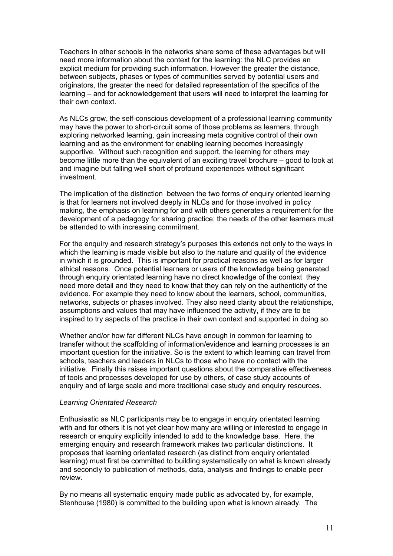Teachers in other schools in the networks share some of these advantages but will need more information about the context for the learning: the NLC provides an explicit medium for providing such information. However the greater the distance, between subjects, phases or types of communities served by potential users and originators, the greater the need for detailed representation of the specifics of the learning – and for acknowledgement that users will need to interpret the learning for their own context.

As NLCs grow, the self-conscious development of a professional learning community may have the power to short-circuit some of those problems as learners, through exploring networked learning, gain increasing meta cognitive control of their own learning and as the environment for enabling learning becomes increasingly supportive. Without such recognition and support, the learning for others may become little more than the equivalent of an exciting travel brochure – good to look at and imagine but falling well short of profound experiences without significant investment.

The implication of the distinction between the two forms of enquiry oriented learning is that for learners not involved deeply in NLCs and for those involved in policy making, the emphasis on learning for and with others generates a requirement for the development of a pedagogy for sharing practice; the needs of the other learners must be attended to with increasing commitment.

For the enquiry and research strategy's purposes this extends not only to the ways in which the learning is made visible but also to the nature and quality of the evidence in which it is grounded. This is important for practical reasons as well as for larger ethical reasons. Once potential learners or users of the knowledge being generated through enquiry orientated learning have no direct knowledge of the context they need more detail and they need to know that they can rely on the authenticity of the evidence. For example they need to know about the learners, school, communities, networks, subjects or phases involved. They also need clarity about the relationships, assumptions and values that may have influenced the activity, if they are to be inspired to try aspects of the practice in their own context and supported in doing so.

Whether and/or how far different NLCs have enough in common for learning to transfer without the scaffolding of information/evidence and learning processes is an important question for the initiative. So is the extent to which learning can travel from schools, teachers and leaders in NLCs to those who have no contact with the initiative. Finally this raises important questions about the comparative effectiveness of tools and processes developed for use by others, of case study accounts of enquiry and of large scale and more traditional case study and enquiry resources.

#### *Learning Orientated Research*

Enthusiastic as NLC participants may be to engage in enquiry orientated learning with and for others it is not yet clear how many are willing or interested to engage in research or enquiry explicitly intended to add to the knowledge base. Here, the emerging enquiry and research framework makes two particular distinctions. It proposes that learning orientated research (as distinct from enquiry orientated learning) must first be committed to building systematically on what is known already and secondly to publication of methods, data, analysis and findings to enable peer review.

By no means all systematic enquiry made public as advocated by, for example, Stenhouse (1980) is committed to the building upon what is known already. The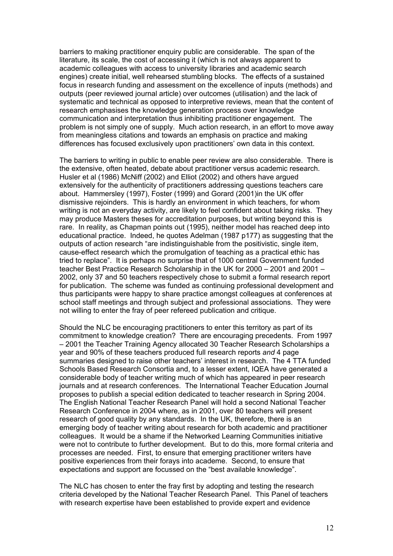barriers to making practitioner enquiry public are considerable. The span of the literature, its scale, the cost of accessing it (which is not always apparent to academic colleagues with access to university libraries and academic search engines) create initial, well rehearsed stumbling blocks. The effects of a sustained focus in research funding and assessment on the excellence of inputs (methods) and outputs (peer reviewed journal article) over outcomes (utilisation) and the lack of systematic and technical as opposed to interpretive reviews, mean that the content of research emphasises the knowledge generation process over knowledge communication and interpretation thus inhibiting practitioner engagement. The problem is not simply one of supply. Much action research, in an effort to move away from meaningless citations and towards an emphasis on practice and making differences has focused exclusively upon practitioners' own data in this context.

The barriers to writing in public to enable peer review are also considerable. There is the extensive, often heated, debate about practitioner versus academic research. Husler et al (1986) McNiff (2002) and Elliot (2002) and others have argued extensively for the authenticity of practitioners addressing questions teachers care about. Hammersley (1997), Foster (1999) and Gorard (2001)in the UK offer dismissive rejoinders. This is hardly an environment in which teachers, for whom writing is not an everyday activity, are likely to feel confident about taking risks. They may produce Masters theses for accreditation purposes, but writing beyond this is rare. In reality, as Chapman points out (1995), neither model has reached deep into educational practice. Indeed, he quotes Adelman (1987 p177) as suggesting that the outputs of action research "are indistinguishable from the positivistic, single item, cause-effect research which the promulgation of teaching as a practical ethic has tried to replace". It is perhaps no surprise that of 1000 central Government funded teacher Best Practice Research Scholarship in the UK for 2000 – 2001 and 2001 – 2002, only 37 and 50 teachers respectively chose to submit a formal research report for publication. The scheme was funded as continuing professional development and thus participants were happy to share practice amongst colleagues at conferences at school staff meetings and through subject and professional associations. They were not willing to enter the fray of peer refereed publication and critique.

Should the NLC be encouraging practitioners to enter this territory as part of its commitment to knowledge creation? There are encouraging precedents. From 1997 – 2001 the Teacher Training Agency allocated 30 Teacher Research Scholarships a year and 90% of these teachers produced full research reports *and* 4 page summaries designed to raise other teachers' interest in research. The 4 TTA funded Schools Based Research Consortia and, to a lesser extent, IQEA have generated a considerable body of teacher writing much of which has appeared in peer research journals and at research conferences. The International Teacher Education Journal proposes to publish a special edition dedicated to teacher research in Spring 2004. The English National Teacher Research Panel will hold a second National Teacher Research Conference in 2004 where, as in 2001, over 80 teachers will present research of good quality by any standards. In the UK, therefore, there is an emerging body of teacher writing about research for both academic and practitioner colleagues. It would be a shame if the Networked Learning Communities initiative were not to contribute to further development. But to do this, more formal criteria and processes are needed. First, to ensure that emerging practitioner writers have positive experiences from their forays into academe. Second, to ensure that expectations and support are focussed on the "best available knowledge".

The NLC has chosen to enter the fray first by adopting and testing the research criteria developed by the National Teacher Research Panel. This Panel of teachers with research expertise have been established to provide expert and evidence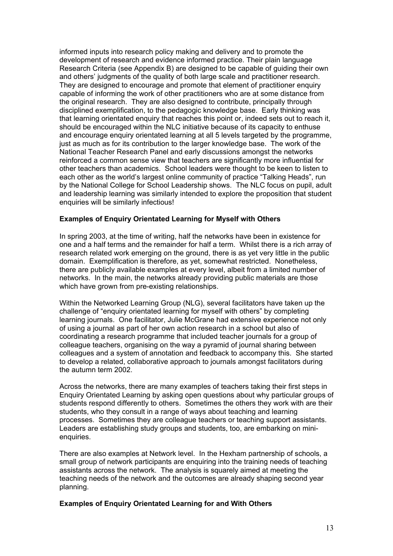informed inputs into research policy making and delivery and to promote the development of research and evidence informed practice. Their plain language Research Criteria (see Appendix B) are designed to be capable of guiding their own and others' judgments of the quality of both large scale and practitioner research. They are designed to encourage and promote that element of practitioner enquiry capable of informing the work of other practitioners who are at some distance from the original research. They are also designed to contribute, principally through disciplined exemplification, to the pedagogic knowledge base. Early thinking was that learning orientated enquiry that reaches this point or, indeed sets out to reach it, should be encouraged within the NLC initiative because of its capacity to enthuse and encourage enquiry orientated learning at all 5 levels targeted by the programme, just as much as for its contribution to the larger knowledge base. The work of the National Teacher Research Panel and early discussions amongst the networks reinforced a common sense view that teachers are significantly more influential for other teachers than academics. School leaders were thought to be keen to listen to each other as the world's largest online community of practice "Talking Heads", run by the National College for School Leadership shows. The NLC focus on pupil, adult and leadership learning was similarly intended to explore the proposition that student enquiries will be similarly infectious!

#### **Examples of Enquiry Orientated Learning for Myself with Others**

In spring 2003, at the time of writing, half the networks have been in existence for one and a half terms and the remainder for half a term. Whilst there is a rich array of research related work emerging on the ground, there is as yet very little in the public domain. Exemplification is therefore, as yet, somewhat restricted. Nonetheless, there are publicly available examples at every level, albeit from a limited number of networks. In the main, the networks already providing public materials are those which have grown from pre-existing relationships.

Within the Networked Learning Group (NLG), several facilitators have taken up the challenge of "enquiry orientated learning for myself with others" by completing learning journals. One facilitator, Julie McGrane had extensive experience not only of using a journal as part of her own action research in a school but also of coordinating a research programme that included teacher journals for a group of colleague teachers, organising on the way a pyramid of journal sharing between colleagues and a system of annotation and feedback to accompany this. She started to develop a related, collaborative approach to journals amongst facilitators during the autumn term 2002.

Across the networks, there are many examples of teachers taking their first steps in Enquiry Orientated Learning by asking open questions about why particular groups of students respond differently to others. Sometimes the others they work with are their students, who they consult in a range of ways about teaching and learning processes. Sometimes they are colleague teachers or teaching support assistants. Leaders are establishing study groups and students, too, are embarking on minienquiries.

There are also examples at Network level. In the Hexham partnership of schools, a small group of network participants are enquiring into the training needs of teaching assistants across the network. The analysis is squarely aimed at meeting the teaching needs of the network and the outcomes are already shaping second year planning.

#### **Examples of Enquiry Orientated Learning for and With Others**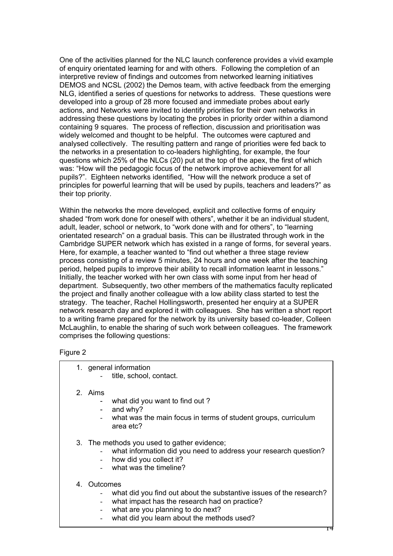One of the activities planned for the NLC launch conference provides a vivid example of enquiry orientated learning for and with others. Following the completion of an interpretive review of findings and outcomes from networked learning initiatives DEMOS and NCSL (2002) the Demos team, with active feedback from the emerging NLG, identified a series of questions for networks to address. These questions were developed into a group of 28 more focused and immediate probes about early actions, and Networks were invited to identify priorities for their own networks in addressing these questions by locating the probes in priority order within a diamond containing 9 squares. The process of reflection, discussion and prioritisation was widely welcomed and thought to be helpful. The outcomes were captured and analysed collectively. The resulting pattern and range of priorities were fed back to the networks in a presentation to co-leaders highlighting, for example, the four questions which 25% of the NLCs (20) put at the top of the apex, the first of which was: "How will the pedagogic focus of the network improve achievement for all pupils?". Eighteen networks identified, "How will the network produce a set of principles for powerful learning that will be used by pupils, teachers and leaders?" as their top priority.

Within the networks the more developed, explicit and collective forms of enquiry shaded "from work done for oneself with others", whether it be an individual student, adult, leader, school or network, to "work done with and for others", to "learning orientated research" on a gradual basis. This can be illustrated through work in the Cambridge SUPER network which has existed in a range of forms, for several years. Here, for example, a teacher wanted to "find out whether a three stage review process consisting of a review 5 minutes, 24 hours and one week after the teaching period, helped pupils to improve their ability to recall information learnt in lessons." Initially, the teacher worked with her own class with some input from her head of department. Subsequently, two other members of the mathematics faculty replicated the project and finally another colleague with a low ability class started to test the strategy. The teacher, Rachel Hollingsworth, presented her enquiry at a SUPER network research day and explored it with colleagues. She has written a short report to a writing frame prepared for the network by its university based co-leader, Colleen McLaughlin, to enable the sharing of such work between colleagues. The framework comprises the following questions:

Figure 2

- 1. general information
	- title, school, contact.
- 2. Aims
	- what did you want to find out ?
	- and why?
	- what was the main focus in terms of student groups, curriculum area etc?
- 3. The methods you used to gather evidence;
	- what information did you need to address your research question?
	- how did you collect it?
	- what was the timeline?
- 4. Outcomes
	- what did you find out about the substantive issues of the research?
	- what impact has the research had on practice?
	- what are you planning to do next?
	- what did you learn about the methods used?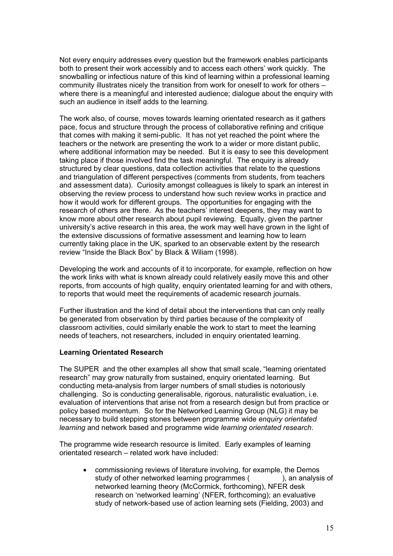Not every enquiry addresses every question but the framework enables participants both to present their work accessibly and to access each others' work quickly. The snowballing or infectious nature of this kind of learning within a professional learning community illustrates nicely the transition from work for oneself to work for others – where there is a meaningful and interested audience; dialogue about the enquiry with such an audience in itself adds to the learning.

The work also, of course, moves towards learning orientated research as it gathers pace, focus and structure through the process of collaborative refining and critique that comes with making it semi-public. It has not yet reached the point where the teachers or the network are presenting the work to a wider or more distant public, where additional information may be needed. But it is easy to see this development taking place if those involved find the task meaningful. The enquiry is already structured by clear questions, data collection activities that relate to the questions and triangulation of different perspectives (comments from students, from teachers and assessment data). Curiosity amongst colleagues is likely to spark an interest in observing the review process to understand how such review works in practice and how it would work for different groups. The opportunities for engaging with the research of others are there. As the teachers' interest deepens, they may want to know more about other research about pupil reviewing. Equally, given the partner university's active research in this area, the work may well have grown in the light of the extensive discussions of formative assessment and learning how to learn currently taking place in the UK, sparked to an observable extent by the research review "Inside the Black Box" by Black & Wiliam (1998).

Developing the work and accounts of it to incorporate, for example, reflection on how the work links with what is known already could relatively easily move this and other reports, from accounts of high quality, enquiry orientated learning for and with others, to reports that would meet the requirements of academic research journals.

Further illustration and the kind of detail about the interventions that can only really be generated from observation by third parties because of the complexity of classroom activities, could similarly enable the work to start to meet the learning needs of teachers, not researchers, included in enquiry orientated learning.

### **Learning Orientated Research**

The SUPER and the other examples all show that small scale, "learning orientated research" may grow naturally from sustained, enquiry orientated learning. But conducting meta-analysis from larger numbers of small studies is notoriously challenging. So is conducting generalisable, rigorous, naturalistic evaluation, i.e. evaluation of interventions that arise not from a research design but from practice or policy based momentum. So for the Networked Learning Group (NLG) it may be necessary to build stepping stones between programme wide *enquiry orientated learning* and network based and programme wide *learning orientated research*.

The programme wide research resource is limited. Early examples of learning orientated research – related work have included:

• commissioning reviews of literature involving, for example, the Demos study of other networked learning programmes (  $\qquad \qquad$ ), an analysis of networked learning theory (McCormick, forthcoming), NFER desk research on 'networked learning' (NFER, forthcoming); an evaluative study of network-based use of action learning sets (Fielding, 2003) and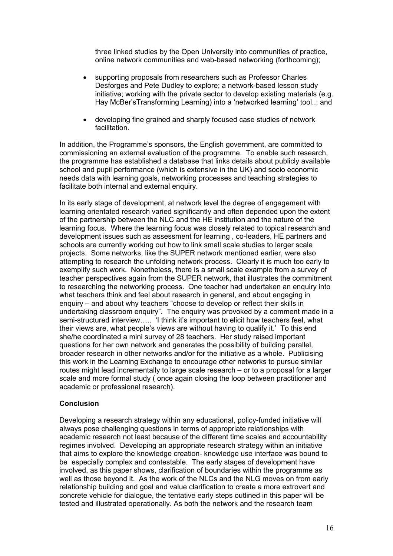three linked studies by the Open University into communities of practice, online network communities and web-based networking (forthcoming);

- supporting proposals from researchers such as Professor Charles Desforges and Pete Dudley to explore; a network-based lesson study initiative; working with the private sector to develop existing materials (e.g. Hay McBer'sTransforming Learning) into a 'networked learning' tool..; and
- developing fine grained and sharply focused case studies of network facilitation.

In addition, the Programme's sponsors, the English government, are committed to commissioning an external evaluation of the programme. To enable such research, the programme has established a database that links details about publicly available school and pupil performance (which is extensive in the UK) and socio economic needs data with learning goals, networking processes and teaching strategies to facilitate both internal and external enquiry.

In its early stage of development, at network level the degree of engagement with learning orientated research varied significantly and often depended upon the extent of the partnership between the NLC and the HE institution and the nature of the learning focus. Where the learning focus was closely related to topical research and development issues such as assessment for learning , co-leaders, HE partners and schools are currently working out how to link small scale studies to larger scale projects. Some networks, like the SUPER network mentioned earlier, were also attempting to research the unfolding network process. Clearly it is much too early to exemplify such work. Nonetheless, there is a small scale example from a survey of teacher perspectives again from the SUPER network, that illustrates the commitment to researching the networking process. One teacher had undertaken an enquiry into what teachers think and feel about research in general, and about engaging in enquiry – and about why teachers "choose to develop or reflect their skills in undertaking classroom enquiry". The enquiry was provoked by a comment made in a semi-structured interview….. 'I think it's important to elicit how teachers feel, what their views are, what people's views are without having to qualify it.' To this end she/he coordinated a mini survey of 28 teachers. Her study raised important questions for her own network and generates the possibility of building parallel, broader research in other networks and/or for the initiative as a whole. Publicising this work in the Learning Exchange to encourage other networks to pursue similar routes might lead incrementally to large scale research – or to a proposal for a larger scale and more formal study ( once again closing the loop between practitioner and academic or professional research).

### **Conclusion**

Developing a research strategy within any educational, policy-funded initiative will always pose challenging questions in terms of appropriate relationships with academic research not least because of the different time scales and accountability regimes involved. Developing an appropriate research strategy within an initiative that aims to explore the knowledge creation- knowledge use interface was bound to be especially complex and contestable. The early stages of development have involved, as this paper shows, clarification of boundaries within the programme as well as those beyond it. As the work of the NLCs and the NLG moves on from early relationship building and goal and value clarification to create a more extrovert and concrete vehicle for dialogue, the tentative early steps outlined in this paper will be tested and illustrated operationally. As both the network and the research team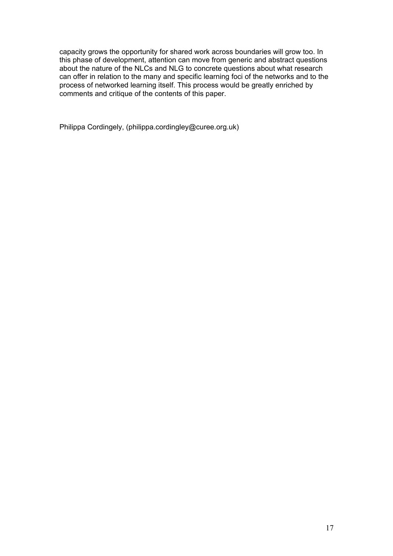capacity grows the opportunity for shared work across boundaries will grow too. In this phase of development, attention can move from generic and abstract questions about the nature of the NLCs and NLG to concrete questions about what research can offer in relation to the many and specific learning foci of the networks and to the process of networked learning itself. This process would be greatly enriched by comments and critique of the contents of this paper.

Philippa Cordingely, (philippa.cordingley@curee.org.uk)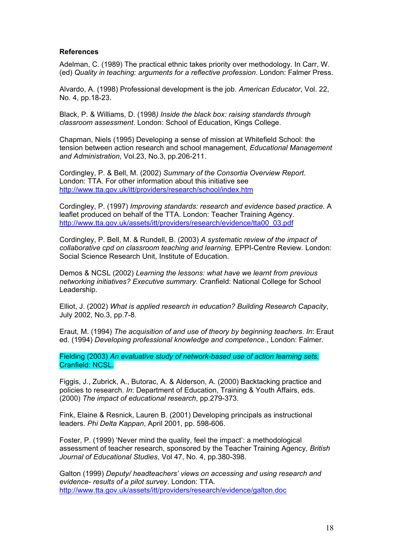#### **References**

Adelman, C. (1989) The practical ethnic takes priority over methodology. In Carr, W. (ed) *Quality in teaching: arguments for a reflective profession*. London: Falmer Press.

Alvardo, A. (1998) Professional development is the job. *American Educator*, Vol. 22, No. 4, pp.18-23.

Black, P. & Williams, D. (1998*) Inside the black box: raising standards through classroom assessment*. London: School of Education, Kings College.

Chapman, Niels (1995) Developing a sense of mission at Whitefield School: the tension between action research and school management, *Educational Management and Administration*, Vol.23, No.3, pp.206-211.

Cordingley, P. & Bell, M. (2002) *Summary of the Consortia Overview Report*. London: TTA. For other information about this initiative see http://www.tta.gov.uk/itt/providers/research/school/index.htm

Cordingley, P. (1997) *Improving standards: research and evidence based practice*. A leaflet produced on behalf of the TTA. London: Teacher Training Agency. http://www.tta.gov.uk/assets/itt/providers/research/evidence/tta00\_03.pdf

Cordingley, P. Bell, M. & Rundell, B. (2003) *A systematic review of the impact of collaborative cpd on classroom teaching and learning*. EPPI-Centre Review. London: Social Science Research Unit, Institute of Education.

Demos & NCSL (2002) *Learning the lessons: what have we learnt from previous networking initiatives? Executive summary*. Cranfield: National College for School Leadership.

Elliot, J. (2002) *What is applied research in education? Building Research Capacity*, July 2002, No.3, pp.7-8.

Eraut, M. (1994) *The acquisition of and use of theory by beginning teachers*. *In*: Eraut ed. (1994) *Developing professional knowledge and competence*., London: Falmer.

Fielding (2003) *An evaluative study of network-based use of action learning sets.* Cranfield: NCSL.

Figgis, J., Zubrick, A., Butorac, A. & Alderson, A. (2000) Backtacking practice and policies to research. *In*: Department of Education, Training & Youth Affairs, eds. (2000) *The impact of educational research*, pp.279-373.

Fink, Elaine & Resnick, Lauren B. (2001) Developing principals as instructional leaders. *Phi Delta Kappan*, April 2001, pp. 598-606.

Foster, P. (1999) 'Never mind the quality, feel the impact': a methodological assessment of teacher research, sponsored by the Teacher Training Agency, *British Journal of Educational Studies*, Vol 47, No. 4, pp.380-398.

Galton (1999) *Deputy/ headteachers' views on accessing and using research and evidence- results of a pilot survey*. London: TTA. http://www.tta.gov.uk/assets/itt/providers/research/evidence/galton.doc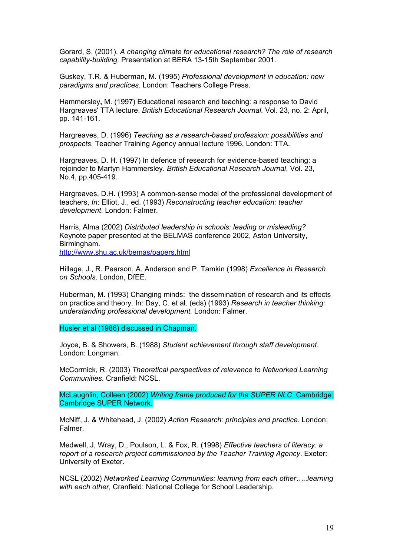Gorard, S. (2001). *A changing climate for educational research? The role of research capability-building,* Presentation at BERA 13-15th September 2001.

Guskey, T.R. & Huberman, M. (1995) *Professional development in education: new paradigms and practices*. London: Teachers College Press.

Hammersley**,** M. (1997) Educational research and teaching: a response to David Hargreaves' TTA lecture. *British Educational Research Journal.* Vol. 23, no. 2: April, pp. 141-161.

Hargreaves, D. (1996) *Teaching as a research-based profession: possibilities and prospects*. Teacher Training Agency annual lecture 1996, London: TTA.

Hargreaves, D. H. (1997) In defence of research for evidence-based teaching: a rejoinder to Martyn Hammersley. *British Educational Research Journal*, Vol. 23, No.4, pp.405-419.

Hargreaves, D.H. (1993) A common-sense model of the professional development of teachers, *In*: Elliot, J., ed. (1993) *Reconstructing teacher education: teacher development*. London: Falmer.

Harris, Alma (2002) *Distributed leadership in schools: leading or misleading?* Keynote paper presented at the BELMAS conference 2002, Aston University, Birmingham.

http://www.shu.ac.uk/bemas/papers.html

Hillage, J., R. Pearson, A. Anderson and P. Tamkin (1998) *Excellence in Research on Schools*. London, DfEE.

Huberman, M. (1993) Changing minds: the dissemination of research and its effects on practice and theory. In: Day, C. et al. (eds) (1993) *Research in teacher thinking: understanding professional development.* London: Falmer.

Husler et al (1986) discussed in Chapman.

Joyce, B. & Showers, B. (1988) *Student achievement through staff development*. London: Longman.

McCormick, R. (2003) *Theoretical perspectives of relevance to Networked Learning Communities*. Cranfield: NCSL.

McLaughlin, Colleen (2002) *Writing frame produced for the SUPER NLC*. Cambridge: Cambridge SUPER Network.

McNiff, J. & Whitehead, J. (2002) *Action Research: principles and practice*. London: Falmer.

Medwell, J, Wray, D., Poulson, L. & Fox, R. (1998) *Effective teachers of literacy: a report of a research project commissioned by the Teacher Training Agency*. Exeter: University of Exeter.

NCSL (2002) *Networked Learning Communities: learning from each other…..learning with each other*, Cranfield: National College for School Leadership.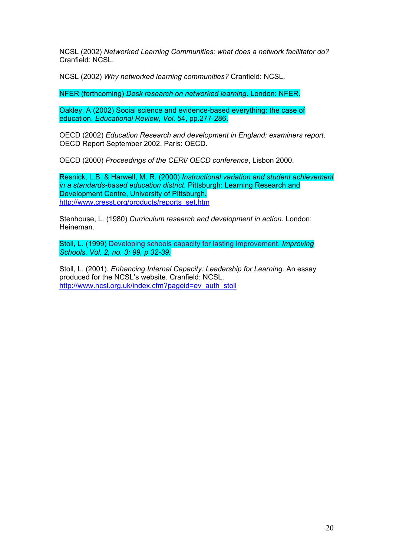NCSL (2002) *Networked Learning Communities: what does a network facilitator do?* Cranfield: NCSL.

NCSL (2002) *Why networked learning communities?* Cranfield: NCSL.

NFER (forthcoming) *Desk research on networked learning*. London: NFER.

Oakley, A (2002) Social science and evidence-based everything: the case of education. *Educational Review, Vol.* 54, pp.277-286.

OECD (2002) *Education Research and development in England: examiners report*. OECD Report September 2002. Paris: OECD.

OECD (2000) *Proceedings of the CERI/ OECD conference*, Lisbon 2000.

Resnick, L.B. & Harwell, M. R. (2000) *Instructional variation and student achievement in a standards-based education district*. Pittsburgh: Learning Research and Development Centre, University of Pittsburgh. http://www.cresst.org/products/reports\_set.htm

Stenhouse, L. (1980) *Curriculum research and development in action*. London: Heineman.

Stoll**,** L. (1999) Developing schools capacity for lasting improvement. *Improving Schools. Vol. 2, no. 3: 99, p 32-39.*

Stoll, L. (2001). *Enhancing Internal Capacity: Leadership for Learning*. An essay produced for the NCSL's website. Cranfield: NCSL. http://www.ncsl.org.uk/index.cfm?pageid=ev\_auth\_stoll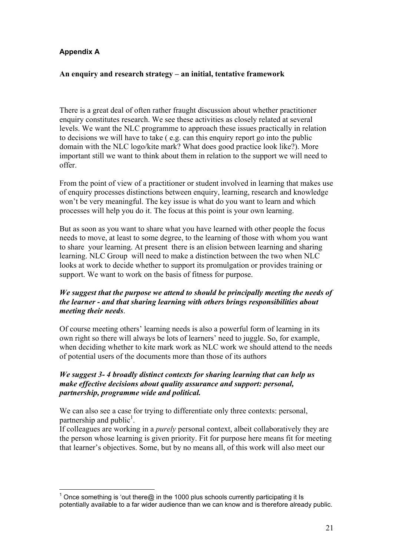# **Appendix A**

# **An enquiry and research strategy – an initial, tentative framework**

There is a great deal of often rather fraught discussion about whether practitioner enquiry constitutes research. We see these activities as closely related at several levels. We want the NLC programme to approach these issues practically in relation to decisions we will have to take ( e.g. can this enquiry report go into the public domain with the NLC logo/kite mark? What does good practice look like?). More important still we want to think about them in relation to the support we will need to offer.

From the point of view of a practitioner or student involved in learning that makes use of enquiry processes distinctions between enquiry, learning, research and knowledge won't be very meaningful. The key issue is what do you want to learn and which processes will help you do it. The focus at this point is your own learning.

But as soon as you want to share what you have learned with other people the focus needs to move, at least to some degree, to the learning of those with whom you want to share your learning. At present there is an elision between learning and sharing learning. NLC Group will need to make a distinction between the two when NLC looks at work to decide whether to support its promulgation or provides training or support. We want to work on the basis of fitness for purpose.

# *We suggest that the purpose we attend to should be principally meeting the needs of the learner - and that sharing learning with others brings responsibilities about meeting their needs*.

Of course meeting others' learning needs is also a powerful form of learning in its own right so there will always be lots of learners' need to juggle. So, for example, when deciding whether to kite mark work as NLC work we should attend to the needs of potential users of the documents more than those of its authors

# *We suggest 3- 4 broadly distinct contexts for sharing learning that can help us make effective decisions about quality assurance and support: personal, partnership, programme wide and political.*

We can also see a case for trying to differentiate only three contexts: personal, partnership and public<sup>1</sup>.

If colleagues are working in a *purely* personal context, albeit collaboratively they are the person whose learning is given priority. Fit for purpose here means fit for meeting that learner's objectives. Some, but by no means all, of this work will also meet our

 $\overline{a}$ <sup>1</sup> Once something is 'out there@ in the 1000 plus schools currently participating it Is potentially available to a far wider audience than we can know and is therefore already public.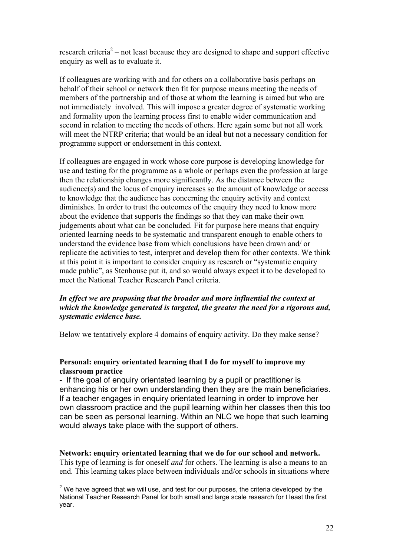research criteria<sup>2</sup> – not least because they are designed to shape and support effective enquiry as well as to evaluate it.

If colleagues are working with and for others on a collaborative basis perhaps on behalf of their school or network then fit for purpose means meeting the needs of members of the partnership and of those at whom the learning is aimed but who are not immediately involved. This will impose a greater degree of systematic working and formality upon the learning process first to enable wider communication and second in relation to meeting the needs of others. Here again some but not all work will meet the NTRP criteria; that would be an ideal but not a necessary condition for programme support or endorsement in this context.

If colleagues are engaged in work whose core purpose is developing knowledge for use and testing for the programme as a whole or perhaps even the profession at large then the relationship changes more significantly. As the distance between the audience(s) and the locus of enquiry increases so the amount of knowledge or access to knowledge that the audience has concerning the enquiry activity and context diminishes. In order to trust the outcomes of the enquiry they need to know more about the evidence that supports the findings so that they can make their own judgements about what can be concluded. Fit for purpose here means that enquiry oriented learning needs to be systematic and transparent enough to enable others to understand the evidence base from which conclusions have been drawn and/ or replicate the activities to test, interpret and develop them for other contexts. We think at this point it is important to consider enquiry as research or "systematic enquiry made public", as Stenhouse put it, and so would always expect it to be developed to meet the National Teacher Research Panel criteria.

# *In effect we are proposing that the broader and more influential the context at which the knowledge generated is targeted, the greater the need for a rigorous and, systematic evidence base.*

Below we tentatively explore 4 domains of enquiry activity. Do they make sense?

# **Personal: enquiry orientated learning that I do for myself to improve my classroom practice**

- If the goal of enquiry orientated learning by a pupil or practitioner is enhancing his or her own understanding then they are the main beneficiaries. If a teacher engages in enquiry orientated learning in order to improve her own classroom practice and the pupil learning within her classes then this too can be seen as personal learning. Within an NLC we hope that such learning would always take place with the support of others.

**Network: enquiry orientated learning that we do for our school and network.**  This type of learning is for oneself *and* for others. The learning is also a means to an end. This learning takes place between individuals and/or schools in situations where

 $\overline{a}$  $2$  We have agreed that we will use, and test for our purposes, the criteria developed by the National Teacher Research Panel for both small and large scale research for t least the first year.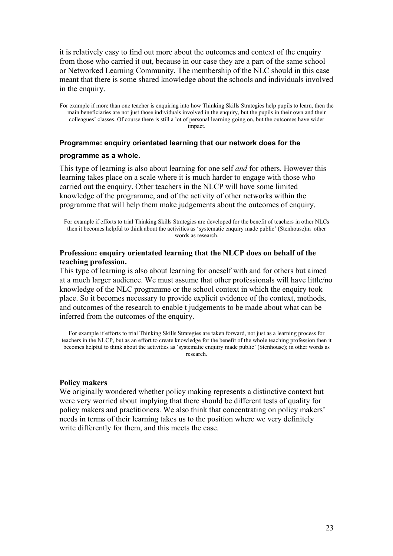it is relatively easy to find out more about the outcomes and context of the enquiry from those who carried it out, because in our case they are a part of the same school or Networked Learning Community. The membership of the NLC should in this case meant that there is some shared knowledge about the schools and individuals involved in the enquiry.

#### **Programme: enquiry orientated learning that our network does for the**

#### **programme as a whole.**

This type of learning is also about learning for one self *and* for others. However this learning takes place on a scale where it is much harder to engage with those who carried out the enquiry. Other teachers in the NLCP will have some limited knowledge of the programme, and of the activity of other networks within the programme that will help them make judgements about the outcomes of enquiry.

For example if efforts to trial Thinking Skills Strategies are developed for the benefit of teachers in other NLCs then it becomes helpful to think about the activities as 'systematic enquiry made public' (Stenhouse)in other words as research.

#### **Profession: enquiry orientated learning that the NLCP does on behalf of the teaching profession.**

This type of learning is also about learning for oneself with and for others but aimed at a much larger audience. We must assume that other professionals will have little/no knowledge of the NLC programme or the school context in which the enquiry took place. So it becomes necessary to provide explicit evidence of the context, methods, and outcomes of the research to enable t judgements to be made about what can be inferred from the outcomes of the enquiry.

For example if efforts to trial Thinking Skills Strategies are taken forward, not just as a learning process for teachers in the NLCP, but as an effort to create knowledge for the benefit of the whole teaching profession then it becomes helpful to think about the activities as 'systematic enquiry made public' (Stenhouse); in other words as research.

#### **Policy makers**

We originally wondered whether policy making represents a distinctive context but were very worried about implying that there should be different tests of quality for policy makers and practitioners. We also think that concentrating on policy makers' needs in terms of their learning takes us to the position where we very definitely write differently for them, and this meets the case.

For example if more than one teacher is enquiring into how Thinking Skills Strategies help pupils to learn, then the main beneficiaries are not just those individuals involved in the enquiry, but the pupils in their own and their colleagues' classes. Of course there is still a lot of personal learning going on, but the outcomes have wider impact.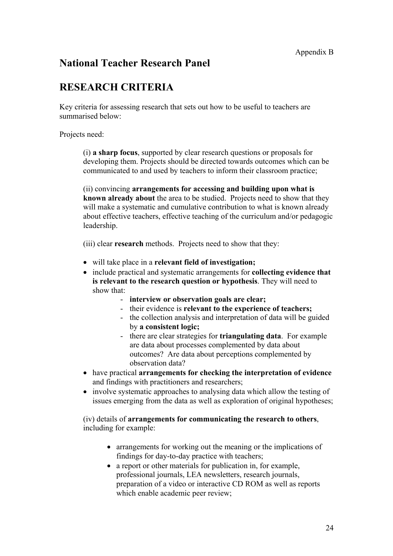# **National Teacher Research Panel**

# **RESEARCH CRITERIA**

Key criteria for assessing research that sets out how to be useful to teachers are summarised below:

Projects need:

(i) **a sharp focus**, supported by clear research questions or proposals for developing them. Projects should be directed towards outcomes which can be communicated to and used by teachers to inform their classroom practice;

(ii) convincing **arrangements for accessing and building upon what is known already about** the area to be studied. Projects need to show that they will make a systematic and cumulative contribution to what is known already about effective teachers, effective teaching of the curriculum and/or pedagogic leadership.

(iii) clear **research** methods. Projects need to show that they:

- will take place in a **relevant field of investigation;**
- include practical and systematic arrangements for **collecting evidence that is relevant to the research question or hypothesis**. They will need to show that:
	- - **interview or observation goals are clear;**
	- their evidence is **relevant to the experience of teachers;**
	- the collection analysis and interpretation of data will be guided by **a consistent logic;**
	- there are clear strategies for **triangulating data**. For example are data about processes complemented by data about outcomes? Are data about perceptions complemented by observation data?
- have practical **arrangements for checking the interpretation of evidence** and findings with practitioners and researchers;
- involve systematic approaches to analysing data which allow the testing of issues emerging from the data as well as exploration of original hypotheses;

(iv) details of **arrangements for communicating the research to others**, including for example:

- arrangements for working out the meaning or the implications of findings for day-to-day practice with teachers;
- a report or other materials for publication in, for example, professional journals, LEA newsletters, research journals, preparation of a video or interactive CD ROM as well as reports which enable academic peer review;